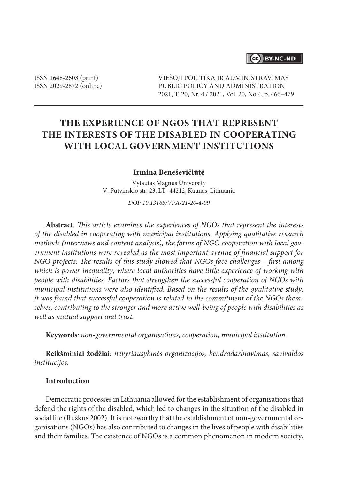### (cc) BY-NC-ND

ISSN 1648-2603 (print) ISSN 2029-2872 (online) VIEŠOJI POLITIKA IR ADMINISTRAVIMAS PUBLIC POLICY AND ADMINISTRATION 2021, T. 20, Nr. 4 / 2021, Vol. 20, No 4, p. 466–479.

# **The experience of NGOs that represent the interests of the disabled in cooperating with local government institutions**

#### **Irmina Beneševičiūtė**

Vytautas Magnus University V. Putvinskio str. 23, LT- 44212, Kaunas, Lithuania

*DOI: 10.13165/VPA-21-20-4-09*

**Abstract***. This article examines the experiences of NGOs that represent the interests of the disabled in cooperating with municipal institutions. Applying qualitative research methods (interviews and content analysis), the forms of NGO cooperation with local government institutions were revealed as the most important avenue of financial support for NGO projects. The results of this study showed that NGOs face challenges – first among which is power inequality, where local authorities have little experience of working with people with disabilities. Factors that strengthen the successful cooperation of NGOs with municipal institutions were also identified. Based on the results of the qualitative study, it was found that successful cooperation is related to the commitment of the NGOs themselves, contributing to the stronger and more active well-being of people with disabilities as well as mutual support and trust.*

**Keywords***: non-governmental organisations, cooperation, municipal institution.*

**Reikšminiai žodžiai***: nevyriausybinės organizacijos, bendradarbiavimas, savivaldos institucijos.* 

### **Introduction**

Democratic processes in Lithuania allowed for the establishment of organisations that defend the rights of the disabled, which led to changes in the situation of the disabled in social life (Ruškus 2002). It is noteworthy that the establishment of non-governmental organisations (NGOs) has also contributed to changes in the lives of people with disabilities and their families. The existence of NGOs is a common phenomenon in modern society,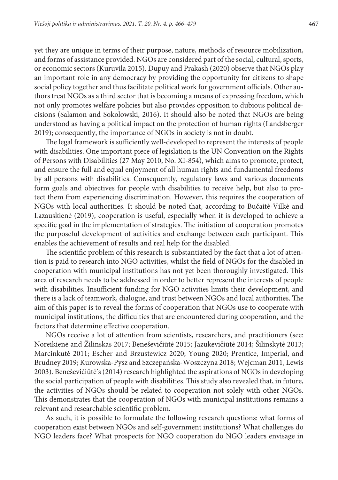yet they are unique in terms of their purpose, nature, methods of resource mobilization, and forms of assistance provided. NGOs are considered part of the social, cultural, sports, or economic sectors (Kuruvila 2015). Dupuy and Prakash (2020) observe that NGOs play an important role in any democracy by providing the opportunity for citizens to shape social policy together and thus facilitate political work for government officials. Other authors treat NGOs as a third sector that is becoming a means of expressing freedom, which not only promotes welfare policies but also provides opposition to dubious political decisions (Salamon and Sokolowski, 2016). It should also be noted that NGOs are being understood as having a political impact on the protection of human rights (Landsberger 2019); consequently, the importance of NGOs in society is not in doubt.

The legal framework is sufficiently well-developed to represent the interests of people with disabilities. One important piece of legislation is the UN Convention on the Rights of Persons with Disabilities (27 May 2010, No. XI-854), which aims to promote, protect, and ensure the full and equal enjoyment of all human rights and fundamental freedoms by all persons with disabilities. Consequently, regulatory laws and various documents form goals and objectives for people with disabilities to receive help, but also to protect them from experiencing discrimination. However, this requires the cooperation of NGOs with local authorities. It should be noted that, according to Bučaitė-Vilkė and Lazauskienė (2019), cooperation is useful, especially when it is developed to achieve a specific goal in the implementation of strategies. The initiation of cooperation promotes the purposeful development of activities and exchange between each participant. This enables the achievement of results and real help for the disabled.

The scientific problem of this research is substantiated by the fact that a lot of attention is paid to research into NGO activities, whilst the field of NGOs for the disabled in cooperation with municipal institutions has not yet been thoroughly investigated. This area of research needs to be addressed in order to better represent the interests of people with disabilities. Insufficient funding for NGO activities limits their development, and there is a lack of teamwork, dialogue, and trust between NGOs and local authorities. The aim of this paper is to reveal the forms of cooperation that NGOs use to cooperate with municipal institutions, the difficulties that are encountered during cooperation, and the factors that determine effective cooperation.

NGOs receive a lot of attention from scientists, researchers, and practitioners (see: Noreikienė and Žilinskas 2017; Beneševičiūtė 2015; Jazukevičiūtė 2014; Šilinskytė 2013; Marcinkutė 2011; Escher and Brzustewicz 2020; Young 2020; Prentice, Imperial, and Brudney 2019; Kurowska-Pysz and Szczepańska-Woszczyna 2018; Wejcman 2011, Lewis 2003). Beneševičiūtė's (2014) research highlighted the aspirations of NGOs in developing the social participation of people with disabilities. This study also revealed that, in future, the activities of NGOs should be related to cooperation not solely with other NGOs. This demonstrates that the cooperation of NGOs with municipal institutions remains a relevant and researchable scientific problem.

As such, it is possible to formulate the following research questions: what forms of cooperation exist between NGOs and self-government institutions? What challenges do NGO leaders face? What prospects for NGO cooperation do NGO leaders envisage in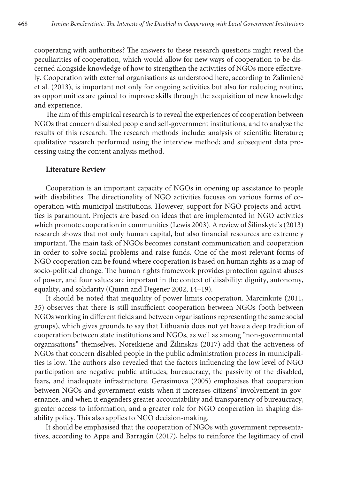cooperating with authorities? The answers to these research questions might reveal the peculiarities of cooperation, which would allow for new ways of cooperation to be discerned alongside knowledge of how to strengthen the activities of NGOs more effectively. Cooperation with external organisations as understood here, according to Žalimienė et al. (2013), is important not only for ongoing activities but also for reducing routine, as opportunities are gained to improve skills through the acquisition of new knowledge and experience.

The aim of this empirical research is to reveal the experiences of cooperation between NGOs that concern disabled people and self-government institutions, and to analyse the results of this research. The research methods include: analysis of scientific literature; qualitative research performed using the interview method; and subsequent data processing using the content analysis method.

#### **Literature Review**

Cooperation is an important capacity of NGOs in opening up assistance to people with disabilities. The directionality of NGO activities focuses on various forms of cooperation with municipal institutions. However, support for NGO projects and activities is paramount. Projects are based on ideas that are implemented in NGO activities which promote cooperation in communities (Lewis 2003). A review of Šilinskytė's (2013) research shows that not only human capital, but also financial resources are extremely important. The main task of NGOs becomes constant communication and cooperation in order to solve social problems and raise funds. One of the most relevant forms of NGO cooperation can be found where cooperation is based on human rights as a map of socio-political change. The human rights framework provides protection against abuses of power, and four values are important in the context of disability: dignity, autonomy, equality, and solidarity (Quinn and Degener 2002, 14–19).

It should be noted that inequality of power limits cooperation. Marcinkutė (2011, 35) observes that there is still insufficient cooperation between NGOs (both between NGOs working in different fields and between organisations representing the same social groups), which gives grounds to say that Lithuania does not yet have a deep tradition of cooperation between state institutions and NGOs, as well as among "non-governmental organisations" themselves. Noreikienė and Žilinskas (2017) add that the activeness of NGOs that concern disabled people in the public administration process in municipalities is low. The authors also revealed that the factors influencing the low level of NGO participation are negative public attitudes, bureaucracy, the passivity of the disabled, fears, and inadequate infrastructure. Gerasimova (2005) emphasises that cooperation between NGOs and government exists when it increases citizens' involvement in governance, and when it engenders greater accountability and transparency of bureaucracy, greater access to information, and a greater role for NGO cooperation in shaping disability policy. This also applies to NGO decision-making.

It should be emphasised that the cooperation of NGOs with government representatives, according to Appe and Barragán (2017), helps to reinforce the legitimacy of civil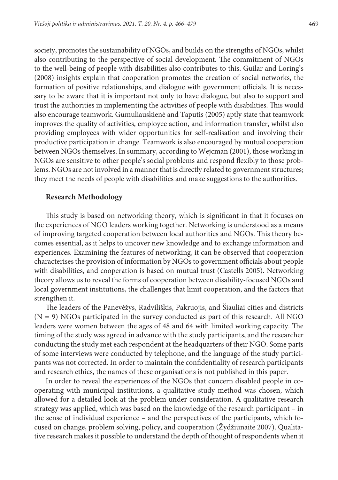society, promotes the sustainability of NGOs, and builds on the strengths of NGOs, whilst also contributing to the perspective of social development. The commitment of NGOs to the well-being of people with disabilities also contributes to this. Guilar and Loring's (2008) insights explain that cooperation promotes the creation of social networks, the formation of positive relationships, and dialogue with government officials. It is necessary to be aware that it is important not only to have dialogue, but also to support and trust the authorities in implementing the activities of people with disabilities. This would also encourage teamwork. Gumuliauskienė and Taputis (2005) aptly state that teamwork improves the quality of activities, employee action, and information transfer, whilst also providing employees with wider opportunities for self-realisation and involving their productive participation in change. Teamwork is also encouraged by mutual cooperation between NGOs themselves. In summary, according to Wejcman (2001), those working in NGOs are sensitive to other people's social problems and respond flexibly to those problems. NGOs are not involved in a manner that is directly related to government structures; they meet the needs of people with disabilities and make suggestions to the authorities.

#### **Research Methodology**

This study is based on networking theory, which is significant in that it focuses on the experiences of NGO leaders working together. Networking is understood as a means of improving targeted cooperation between local authorities and NGOs. This theory becomes essential, as it helps to uncover new knowledge and to exchange information and experiences. Examining the features of networking, it can be observed that cooperation characterises the provision of information by NGOs to government officials about people with disabilities, and cooperation is based on mutual trust (Castells 2005). Networking theory allows us to reveal the forms of cooperation between disability-focused NGOs and local government institutions, the challenges that limit cooperation, and the factors that strengthen it.

The leaders of the Panevėžys, Radviliškis, Pakruojis, and Šiauliai cities and districts  $(N = 9)$  NGOs participated in the survey conducted as part of this research. All NGO leaders were women between the ages of 48 and 64 with limited working capacity. The timing of the study was agreed in advance with the study participants, and the researcher conducting the study met each respondent at the headquarters of their NGO. Some parts of some interviews were conducted by telephone, and the language of the study participants was not corrected. In order to maintain the confidentiality of research participants and research ethics, the names of these organisations is not published in this paper.

In order to reveal the experiences of the NGOs that concern disabled people in cooperating with municipal institutions, a qualitative study method was chosen, which allowed for a detailed look at the problem under consideration. A qualitative research strategy was applied, which was based on the knowledge of the research participant – in the sense of individual experience – and the perspectives of the participants, which focused on change, problem solving, policy, and cooperation (Žydžiūnaitė 2007). Qualitative research makes it possible to understand the depth of thought of respondents when it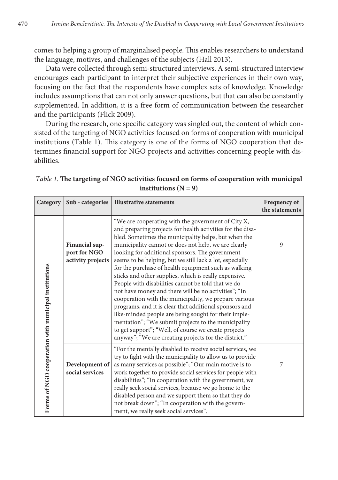comes to helping a group of marginalised people. This enables researchers to understand the language, motives, and challenges of the subjects (Hall 2013).

Data were collected through semi-structured interviews. A semi-structured interview encourages each participant to interpret their subjective experiences in their own way, focusing on the fact that the respondents have complex sets of knowledge. Knowledge includes assumptions that can not only answer questions, but that can also be constantly supplemented. In addition, it is a free form of communication between the researcher and the participants (Flick 2009).

During the research, one specific category was singled out, the content of which consisted of the targeting of NGO activities focused on forms of cooperation with municipal institutions (Table 1). This category is one of the forms of NGO cooperation that determines financial support for NGO projects and activities concerning people with disabilities.

*Table 1.* **The targeting of NGO activities focused on forms of cooperation with municipal**   $institutions (N = 9)$ 

| Category                                             | Sub - categories                                    | <b>Illustrative statements</b>                                                                                                                                                                                                                                                                                                                                                                                                                                                                                                                                                                                                                                                                                                                                                                                                                                                                                                    | Frequency of<br>the statements |
|------------------------------------------------------|-----------------------------------------------------|-----------------------------------------------------------------------------------------------------------------------------------------------------------------------------------------------------------------------------------------------------------------------------------------------------------------------------------------------------------------------------------------------------------------------------------------------------------------------------------------------------------------------------------------------------------------------------------------------------------------------------------------------------------------------------------------------------------------------------------------------------------------------------------------------------------------------------------------------------------------------------------------------------------------------------------|--------------------------------|
| Forms of NGO cooperation with municipal institutions | Financial sup-<br>port for NGO<br>activity projects | "We are cooperating with the government of City X,<br>and preparing projects for health activities for the disa-<br>bled. Sometimes the municipality helps, but when the<br>municipality cannot or does not help, we are clearly<br>looking for additional sponsors. The government<br>seems to be helping, but we still lack a lot, especially<br>for the purchase of health equipment such as walking<br>sticks and other supplies, which is really expensive.<br>People with disabilities cannot be told that we do<br>not have money and there will be no activities"; "In<br>cooperation with the municipality, we prepare various<br>programs, and it is clear that additional sponsors and<br>like-minded people are being sought for their imple-<br>mentation"; "We submit projects to the municipality<br>to get support"; "Well, of course we create projects<br>anyway"; "We are creating projects for the district." | 9                              |
|                                                      | Development of<br>social services                   | "For the mentally disabled to receive social services, we<br>try to fight with the municipality to allow us to provide<br>as many services as possible"; "Our main motive is to<br>work together to provide social services for people with<br>disabilities"; "In cooperation with the government, we<br>really seek social services, because we go home to the<br>disabled person and we support them so that they do<br>not break down"; "In cooperation with the govern-<br>ment, we really seek social services".                                                                                                                                                                                                                                                                                                                                                                                                             | 7                              |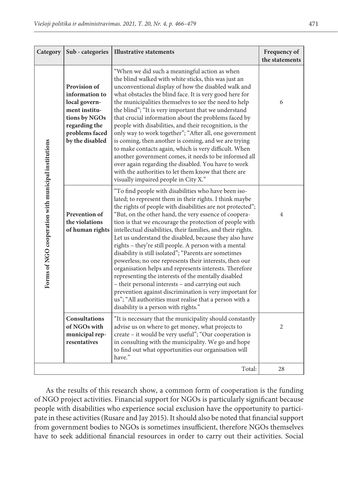| Category                                             | Sub - categories                                                                                                                               | <b>Illustrative statements</b>                                                                                                                                                                                                                                                                                                                                                                                                                                                                                                                                                                                                                                                                                                                                                                                                                                                                                                               | Frequency of<br>the statements |
|------------------------------------------------------|------------------------------------------------------------------------------------------------------------------------------------------------|----------------------------------------------------------------------------------------------------------------------------------------------------------------------------------------------------------------------------------------------------------------------------------------------------------------------------------------------------------------------------------------------------------------------------------------------------------------------------------------------------------------------------------------------------------------------------------------------------------------------------------------------------------------------------------------------------------------------------------------------------------------------------------------------------------------------------------------------------------------------------------------------------------------------------------------------|--------------------------------|
| Forms of NGO cooperation with municipal institutions | <b>Provision of</b><br>information to<br>local govern-<br>ment institu-<br>tions by NGOs<br>regarding the<br>problems faced<br>by the disabled | "When we did such a meaningful action as when<br>the blind walked with white sticks, this was just an<br>unconventional display of how the disabled walk and<br>what obstacles the blind face. It is very good here for<br>the municipalities themselves to see the need to help<br>the blind"; "It is very important that we understand<br>that crucial information about the problems faced by<br>people with disabilities, and their recognition, is the<br>only way to work together"; "After all, one government<br>is coming, then another is coming, and we are trying<br>to make contacts again, which is very difficult. When<br>another government comes, it needs to be informed all<br>over again regarding the disabled. You have to work<br>with the authorities to let them know that there are<br>visually impaired people in City X."                                                                                       | 6                              |
|                                                      | Prevention of<br>the violations<br>of human rights                                                                                             | "To find people with disabilities who have been iso-<br>lated; to represent them in their rights. I think maybe<br>the rights of people with disabilities are not protected";<br>"But, on the other hand, the very essence of coopera-<br>tion is that we encourage the protection of people with<br>intellectual disabilities, their families, and their rights.<br>Let us understand the disabled, because they also have<br>rights – they're still people. A person with a mental<br>disability is still isolated"; "Parents are sometimes<br>powerless; no one represents their interests, then our<br>organisation helps and represents interests. Therefore<br>representing the interests of the mentally disabled<br>- their personal interests - and carrying out such<br>prevention against discrimination is very important for<br>us"; "All authorities must realise that a person with a<br>disability is a person with rights." | $\overline{4}$                 |
|                                                      | <b>Consultations</b><br>of NGOs with<br>municipal rep-<br>resentatives                                                                         | "It is necessary that the municipality should constantly<br>advise us on where to get money, what projects to<br>create – it would be very useful"; "Our cooperation is<br>in consulting with the municipality. We go and hope<br>to find out what opportunities our organisation will<br>have."                                                                                                                                                                                                                                                                                                                                                                                                                                                                                                                                                                                                                                             | $\overline{2}$                 |
|                                                      |                                                                                                                                                | Total:                                                                                                                                                                                                                                                                                                                                                                                                                                                                                                                                                                                                                                                                                                                                                                                                                                                                                                                                       | 28                             |

As the results of this research show, a common form of cooperation is the funding of NGO project activities. Financial support for NGOs is particularly significant because people with disabilities who experience social exclusion have the opportunity to participate in these activities (Rusare and Jay 2015). It should also be noted that financial support from government bodies to NGOs is sometimes insufficient, therefore NGOs themselves have to seek additional financial resources in order to carry out their activities. Social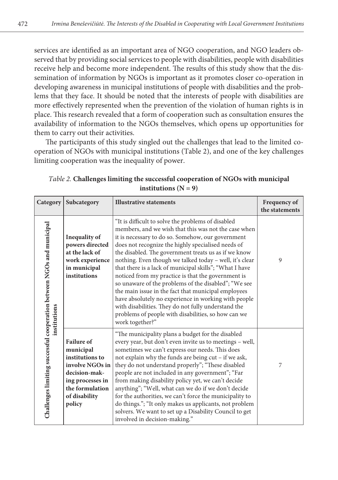services are identified as an important area of NGO cooperation, and NGO leaders observed that by providing social services to people with disabilities, people with disabilities receive help and become more independent. The results of this study show that the dissemination of information by NGOs is important as it promotes closer co-operation in developing awareness in municipal institutions of people with disabilities and the problems that they face. It should be noted that the interests of people with disabilities are more effectively represented when the prevention of the violation of human rights is in place. This research revealed that a form of cooperation such as consultation ensures the availability of information to the NGOs themselves, which opens up opportunities for them to carry out their activities.

The participants of this study singled out the challenges that lead to the limited cooperation of NGOs with municipal institutions (Table 2), and one of the key challenges limiting cooperation was the inequality of power.

| Category                                                                              | Subcategory                                                                                                                                             | <b>Illustrative statements</b>                                                                                                                                                                                                                                                                                                                                                                                                                                                                                                                                                                                                                                                                                                                                    | Frequency of<br>the statements |
|---------------------------------------------------------------------------------------|---------------------------------------------------------------------------------------------------------------------------------------------------------|-------------------------------------------------------------------------------------------------------------------------------------------------------------------------------------------------------------------------------------------------------------------------------------------------------------------------------------------------------------------------------------------------------------------------------------------------------------------------------------------------------------------------------------------------------------------------------------------------------------------------------------------------------------------------------------------------------------------------------------------------------------------|--------------------------------|
| Challenges limiting successful cooperation between NGOs and municipal<br>institutions | Inequality of<br>powers directed<br>at the lack of<br>work experience<br>in municipal<br>institutions                                                   | "It is difficult to solve the problems of disabled<br>members, and we wish that this was not the case when<br>it is necessary to do so. Somehow, our government<br>does not recognize the highly specialised needs of<br>the disabled. The government treats us as if we know<br>nothing. Even though we talked today - well, it's clear<br>that there is a lack of municipal skills"; "What I have<br>noticed from my practice is that the government is<br>so unaware of the problems of the disabled"; "We see<br>the main issue in the fact that municipal employees<br>have absolutely no experience in working with people<br>with disabilities. They do not fully understand the<br>problems of people with disabilities, so how can we<br>work together?" | 9                              |
|                                                                                       | <b>Failure of</b><br>municipal<br>institutions to<br>involve NGOs in<br>decision-mak-<br>ing processes in<br>the formulation<br>of disability<br>policy | "The municipality plans a budget for the disabled<br>every year, but don't even invite us to meetings - well,<br>sometimes we can't express our needs. This does<br>not explain why the funds are being cut - if we ask,<br>they do not understand properly"; "These disabled<br>people are not included in any government"; "Far<br>from making disability policy yet, we can't decide<br>anything"; "Well, what can we do if we don't decide<br>for the authorities, we can't force the municipality to<br>do things."; "It only makes us applicants, not problem<br>solvers. We want to set up a Disability Council to get<br>involved in decision-making."                                                                                                    | 7                              |

*Table 2.* **Challenges limiting the successful cooperation of NGOs with municipal**   $institutions (N = 9)$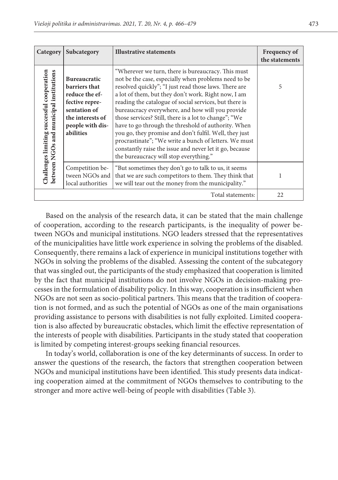| Category                                                                                 | Subcategory                                                                                                                                   | <b>Illustrative statements</b>                                                                                                                                                                                                                                                                                                                                                                                                                                                                                                                                                                                                                                                   | <b>Frequency of</b><br>the statements |
|------------------------------------------------------------------------------------------|-----------------------------------------------------------------------------------------------------------------------------------------------|----------------------------------------------------------------------------------------------------------------------------------------------------------------------------------------------------------------------------------------------------------------------------------------------------------------------------------------------------------------------------------------------------------------------------------------------------------------------------------------------------------------------------------------------------------------------------------------------------------------------------------------------------------------------------------|---------------------------------------|
| successful cooperation<br>between NGOs and municipal institutions<br>Challenges limiting | <b>Bureaucratic</b><br>barriers that<br>reduce the ef-<br>fective repre-<br>sentation of<br>the interests of<br>people with dis-<br>abilities | "Wherever we turn, there is bureaucracy. This must<br>not be the case, especially when problems need to be<br>resolved quickly"; "I just read those laws. There are<br>a lot of them, but they don't work. Right now, I am<br>reading the catalogue of social services, but there is<br>bureaucracy everywhere, and how will you provide<br>those services? Still, there is a lot to change"; "We<br>have to go through the threshold of authority. When<br>you go, they promise and don't fulfil. Well, they just<br>procrastinate"; "We write a bunch of letters. We must<br>constantly raise the issue and never let it go, because<br>the bureaucracy will stop everything." | 5                                     |
|                                                                                          | Competition be-<br>tween NGOs and<br>local authorities                                                                                        | "But sometimes they don't go to talk to us, it seems<br>that we are such competitors to them. They think that<br>we will tear out the money from the municipality."                                                                                                                                                                                                                                                                                                                                                                                                                                                                                                              | 1                                     |
| Total statements:                                                                        |                                                                                                                                               |                                                                                                                                                                                                                                                                                                                                                                                                                                                                                                                                                                                                                                                                                  | 22                                    |

Based on the analysis of the research data, it can be stated that the main challenge of cooperation, according to the research participants, is the inequality of power between NGOs and municipal institutions. NGO leaders stressed that the representatives of the municipalities have little work experience in solving the problems of the disabled. Consequently, there remains a lack of experience in municipal institutions together with NGOs in solving the problems of the disabled. Assessing the content of the subcategory that was singled out, the participants of the study emphasized that cooperation is limited by the fact that municipal institutions do not involve NGOs in decision-making processes in the formulation of disability policy. In this way, cooperation is insufficient when NGOs are not seen as socio-political partners. This means that the tradition of cooperation is not formed, and as such the potential of NGOs as one of the main organisations providing assistance to persons with disabilities is not fully exploited. Limited cooperation is also affected by bureaucratic obstacles, which limit the effective representation of the interests of people with disabilities. Participants in the study stated that cooperation is limited by competing interest-groups seeking financial resources.

In today's world, collaboration is one of the key determinants of success. In order to answer the questions of the research, the factors that strengthen cooperation between NGOs and municipal institutions have been identified. This study presents data indicating cooperation aimed at the commitment of NGOs themselves to contributing to the stronger and more active well-being of people with disabilities (Table 3).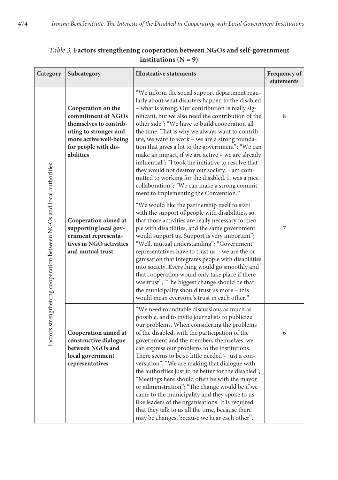| Category                                                             | Subcategory                                                                                                                                                | <b>Illustrative statements</b>                                                                                                                                                                                                                                                                                                                                                                                                                                                                                                                                                                                                                                                                                                                                          | Frequency of<br>statements |
|----------------------------------------------------------------------|------------------------------------------------------------------------------------------------------------------------------------------------------------|-------------------------------------------------------------------------------------------------------------------------------------------------------------------------------------------------------------------------------------------------------------------------------------------------------------------------------------------------------------------------------------------------------------------------------------------------------------------------------------------------------------------------------------------------------------------------------------------------------------------------------------------------------------------------------------------------------------------------------------------------------------------------|----------------------------|
| Factors strengthening cooperation between NGOs and local authorities | Cooperation on the<br>commitment of NGOs<br>themselves to contrib-<br>uting to stronger and<br>more active well-being<br>for people with dis-<br>abilities | "We inform the social support department regu-<br>larly about what disasters happen to the disabled<br>- what is wrong. Our contribution is really sig-<br>nificant, but we also need the contribution of the<br>other side"; "We have to build cooperation all<br>the time. That is why we always want to contrib-<br>ute, we want to work - we are a strong founda-<br>tion that gives a lot to the government"; "We can<br>make an impact, if we are active - we are already<br>influential"; "I took the initiative to resolve that<br>they would not destroy our society. I am com-<br>mitted to working for the disabled. It was a nice<br>collaboration"; "We can make a strong commit-<br>ment to implementing the Convention."                                 | 8                          |
|                                                                      | Cooperation aimed at<br>supporting local gov-<br>ernment representa-<br>tives in NGO activities<br>and mutual trust                                        | "We would like the partnership itself to start<br>with the support of people with disabilities, so<br>that those activities are really necessary for peo-<br>ple with disabilities, and the same government<br>would support us. Support is very important";<br>"Well, mutual understanding"; "Government<br>representatives have to trust us - we are the or-<br>ganisation that integrates people with disabilities<br>into society. Everything would go smoothly and<br>that cooperation would only take place if there<br>was trust"; "The biggest change should be that<br>the municipality should trust us more - this<br>would mean everyone's trust in each other."                                                                                             | 7                          |
|                                                                      | Cooperation aimed at<br>constructive dialogue<br>between NGOs and<br>local government<br>representatives                                                   | "We need roundtable discussions as much as<br>possible, and to invite journalists to publicize<br>our problems. When considering the problems<br>of the disabled, with the participation of the<br>government and the members themselves, we<br>can express our problems to the institutions.<br>There seems to be so little needed – just a con-<br>versation"; "We are making that dialogue with<br>the authorities just to be better for the disabled";<br>"Meetings here should often be with the mayor<br>or administration"; "The change would be if we<br>came to the municipality and they spoke to us<br>like leaders of the organisations. It is required<br>that they talk to us all the time, because there<br>may be changes, because we hear each other". | 6                          |

### *Table 3.* **Factors strengthening cooperation between NGOs and self-government institutions**  $(N = 9)$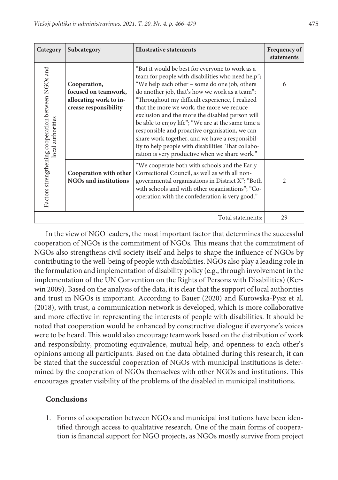| Category                                                                | Subcategory                                                                             | <b>Illustrative statements</b>                                                                                                                                                                                                                                                                                                                                                                                                                                                                                                                                                                                                 | Frequency of<br>statements |
|-------------------------------------------------------------------------|-----------------------------------------------------------------------------------------|--------------------------------------------------------------------------------------------------------------------------------------------------------------------------------------------------------------------------------------------------------------------------------------------------------------------------------------------------------------------------------------------------------------------------------------------------------------------------------------------------------------------------------------------------------------------------------------------------------------------------------|----------------------------|
| Factors strengthening cooperation between NGOs and<br>local authorities | Cooperation,<br>focused on teamwork,<br>allocating work to in-<br>crease responsibility | "But it would be best for everyone to work as a<br>team for people with disabilities who need help";<br>"We help each other – some do one job, others<br>do another job, that's how we work as a team";<br>"Throughout my difficult experience, I realized<br>that the more we work, the more we reduce<br>exclusion and the more the disabled person will<br>be able to enjoy life"; "We are at the same time a<br>responsible and proactive organisation, we can<br>share work together, and we have a responsibil-<br>ity to help people with disabilities. That collabo-<br>ration is very productive when we share work." | 6                          |
|                                                                         | Cooperation with other<br><b>NGOs and institutions</b>                                  | "We cooperate both with schools and the Early<br>Correctional Council, as well as with all non-<br>governmental organisations in District X"; "Both<br>with schools and with other organisations"; "Co-<br>operation with the confederation is very good."                                                                                                                                                                                                                                                                                                                                                                     | $\mathfrak{D}$             |
| Total statements:                                                       |                                                                                         |                                                                                                                                                                                                                                                                                                                                                                                                                                                                                                                                                                                                                                | 29                         |

In the view of NGO leaders, the most important factor that determines the successful cooperation of NGOs is the commitment of NGOs. This means that the commitment of NGOs also strengthens civil society itself and helps to shape the influence of NGOs by contributing to the well-being of people with disabilities. NGOs also play a leading role in the formulation and implementation of disability policy (e.g., through involvement in the implementation of the UN Convention on the Rights of Persons with Disabilities) (Kerwin 2009). Based on the analysis of the data, it is clear that the support of local authorities and trust in NGOs is important. According to Bauer (2020) and Kurowska-Pysz et al. (2018), with trust, a communication network is developed, which is more collaborative and more effective in representing the interests of people with disabilities. It should be noted that cooperation would be enhanced by constructive dialogue if everyone's voices were to be heard. This would also encourage teamwork based on the distribution of work and responsibility, promoting equivalence, mutual help, and openness to each other's opinions among all participants. Based on the data obtained during this research, it can be stated that the successful cooperation of NGOs with municipal institutions is determined by the cooperation of NGOs themselves with other NGOs and institutions. This encourages greater visibility of the problems of the disabled in municipal institutions.

### **Conclusions**

1. Forms of cooperation between NGOs and municipal institutions have been identified through access to qualitative research. One of the main forms of cooperation is financial support for NGO projects, as NGOs mostly survive from project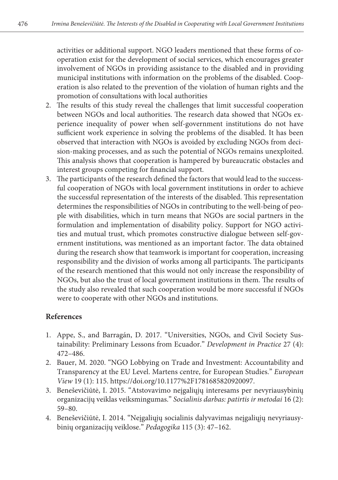activities or additional support. NGO leaders mentioned that these forms of cooperation exist for the development of social services, which encourages greater involvement of NGOs in providing assistance to the disabled and in providing municipal institutions with information on the problems of the disabled. Cooperation is also related to the prevention of the violation of human rights and the promotion of consultations with local authorities

- 2. The results of this study reveal the challenges that limit successful cooperation between NGOs and local authorities. The research data showed that NGOs experience inequality of power when self-government institutions do not have sufficient work experience in solving the problems of the disabled. It has been observed that interaction with NGOs is avoided by excluding NGOs from decision-making processes, and as such the potential of NGOs remains unexploited. This analysis shows that cooperation is hampered by bureaucratic obstacles and interest groups competing for financial support.
- 3. The participants of the research defined the factors that would lead to the successful cooperation of NGOs with local government institutions in order to achieve the successful representation of the interests of the disabled. This representation determines the responsibilities of NGOs in contributing to the well-being of people with disabilities, which in turn means that NGOs are social partners in the formulation and implementation of disability policy. Support for NGO activities and mutual trust, which promotes constructive dialogue between self-government institutions, was mentioned as an important factor. The data obtained during the research show that teamwork is important for cooperation, increasing responsibility and the division of works among all participants. The participants of the research mentioned that this would not only increase the responsibility of NGOs, but also the trust of local government institutions in them. The results of the study also revealed that such cooperation would be more successful if NGOs were to cooperate with other NGOs and institutions.

### **References**

- 1. Appe, S., and Barragán, D. 2017. "Universities, NGOs, and Civil Society Sustainability: Preliminary Lessons from Ecuador." *Development in Practice* 27 (4): 472–486.
- 2. Bauer, M. 2020. "NGO Lobbying on Trade and Investment: Accountability and Transparency at the EU Level. Martens centre, for European Studies." *European View* 19 (1): 115. https://doi.org/10.1177%2F1781685820920097.
- 3. Beneševičiūtė, I. 2015. "Atstovavimo neįgaliųjų interesams per nevyriausybinių organizacijų veiklas veiksmingumas." *Socialinis darbas: patirtis ir metodai* 16 (2): 59–80.
- 4. Beneševičiūtė, I. 2014. "Neįgaliųjų socialinis dalyvavimas neįgaliųjų nevyriausybinių organizacijų veiklose." *Pedagogika* 115 (3): 47–162.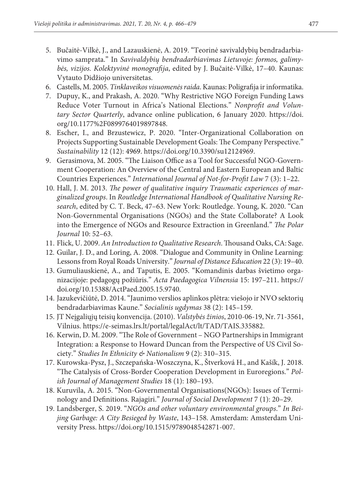- 5. Bučaitė-Vilkė, J., and Lazauskienė, A. 2019. "Teorinė savivaldybių bendradarbiavimo samprata." In *Savivaldybių bendradarbiavimas Lietuvoje: formos, galimybės, vizijos. Kolektyvinė monografija*, edited by J. Bučaitė-Vilkė, 17–40. Kaunas: Vytauto Didžiojo universitetas.
- 6. Castells, M. 2005. *Tinklaveikos visuomenės raida*. Kaunas: Poligrafija ir informatika.
- 7. Dupuy, K., and Prakash, A. 2020. "Why Restrictive NGO Foreign Funding Laws Reduce Voter Turnout in Africa's National Elections." *Nonprofit and Voluntary Sector Quarterly*, advance online publication, 6 January 2020. https://doi. org/10.1177%2F0899764019897848.
- 8. Escher, I., and Brzustewicz, P. 2020. "Inter-Organizational Collaboration on Projects Supporting Sustainable Development Goals: The Company Perspective." *Sustainability* 12 (12): 4969. https://doi.org/10.3390/su12124969.
- 9. Gerasimova, M. 2005. "The Liaison Office as a Tool for Successful NGO-Government Cooperation: An Overview of the Central and Eastern European and Baltic Countries Experiences." *International Journal of Not-for-Profit Law* 7 (3): 1–22.
- 10. Hall, J. M. 2013. *The power of qualitative inquiry Traumatic experiences of marginalized groups*. In *Routledge International Handbook of Qualitative Nursing Research*, edited by C. T. Beck, 47–63. New York: Routledge. Young, K. 2020. "Can Non-Governmental Organisations (NGOs) and the State Collaborate? A Look into the Emergence of NGOs and Resource Extraction in Greenland." *The Polar Journal* 10: 52–63.
- 11. Flick, U. 2009. *An Introduction to Qualitative Research*. Thousand Oaks, CA: Sage.
- 12. Guilar, J. D., and Loring, A. 2008. "Dialogue and Community in Online Learning: Lessons from Royal Roads University." *Journal of Distance Education* 22 (3): 19–40.
- 13. Gumuliauskienė, A., and Taputis, E. 2005. "Komandinis darbas švietimo organizacijoje: pedagogų požiūris." *Acta Paedagogica Vilnensia* 15: 197–211. https:// doi.org/10.15388/ActPaed.2005.15.9740.
- 14. Jazukevičiūtė, D. 2014. "Jaunimo verslios aplinkos plėtra: viešojo ir NVO sektorių bendradarbiavimas Kaune." *Socialinis ugdymas* 38 (2): 145–159.
- 15. JT Neįgaliųjų teisių konvencija. (2010). *Valstybės žinios*, 2010-06-19, Nr. 71-3561, Vilnius. https://e-seimas.lrs.lt/portal/legalAct/lt/TAD/TAIS.335882.
- 16. Kerwin, D. M. 2009. "The Role of Government NGO Partnerships in Immigrant Integration: a Response to Howard Duncan from the Perspective of US Civil Society." *Studies In Ethnicity & Nationalism* 9 (2): 310–315.
- 17. Kurowska-Pysz, J., Szczepańska-Woszczyna, K., Štverková H., and Kašík, J. 2018. "The Catalysis of Cross-Border Cooperation Development in Euroregions." *Polish Journal of Management Studies* 18 (1): 180–193.
- 18. Kuruvila, A. 2015. "Non-Governmental Organisations(NGOs): Issues of Terminology and Definitions. Rajagiri." *Journal of Social Development* 7 (1): 20–29.
- 19. Landsberger, S. 2019. "*NGOs and other voluntary environmental groups*." *In Beijing Garbage: A City Besieged by Waste*, 143–158. Amsterdam: Amsterdam University Press. https://doi.org/10.1515/9789048542871-007.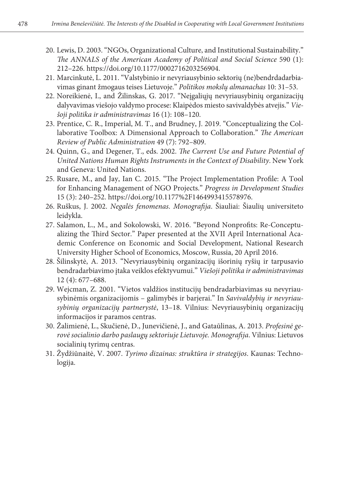- 20. Lewis, D. 2003. "NGOs, Organizational Culture, and Institutional Sustainability." *The ANNALS of the American Academy of Political and Social Science* 590 (1): 212–226. https://doi.org/10.1177/0002716203256904.
- 21. Marcinkutė, L. 2011. "Valstybinio ir nevyriausybinio sektorių (ne)bendrdadarbiavimas ginant žmogaus teises Lietuvoje." *Politikos mokslų almanachas* 10: 31–53.
- 22. Noreikienė, I., and Žilinskas, G. 2017. "Neįgaliųjų nevyriausybinių organizacijų dalyvavimas viešojo valdymo procese: Klaipėdos miesto savivaldybės atvejis." *Viešoji politika ir administravimas* 16 (1): 108–120.
- 23. Prentice, C. R., Imperial, M. T., and Brudney, J. 2019. "Conceptualizing the Collaborative Toolbox: A Dimensional Approach to Collaboration." *The American Review of Public Administration* 49 (7): 792–809.
- 24. Quinn, G., and Degener, T., eds. 2002. *The Current Use and Future Potential of United Nations Human Rights Instruments in the Context of Disability*. New York and Geneva: United Nations.
- 25. Rusare, M., and Jay, Ian C. 2015. "The Project Implementation Profile: A Tool for Enhancing Management of NGO Projects." *Progress in Development Studies* 15 (3): 240–252. https://doi.org/10.1177%2F1464993415578976.
- 26. Ruškus, J. 2002. *Negalės fenomenas*. *Monografija*. Šiauliai: Šiaulių universiteto leidykla.
- 27. Salamon, L., M., and Sokolowski, W. 2016. "Beyond Nonprofits: Re-Conceptualizing the Third Sector." Paper presented at the XVII April International Academic Conference on Economic and Social Development, National Research University Higher School of Economics, Moscow, Russia, 20 April 2016.
- 28. Šilinskytė, A. 2013. "Nevyriausybinių organizacijų išorinių ryšių ir tarpusavio bendradarbiavimo įtaka veiklos efektyvumui." *Viešoji politika ir administravimas* 12 (4): 677–688.
- 29. Wejcman, Z. 2001. "Vietos valdžios institucijų bendradarbiavimas su nevyriausybinėmis organizacijomis – galimybės ir barjerai." In *Savivaldybių ir nevyriausybinių organizacijų partnerystė*, 13–18. Vilnius: Nevyriausybinių organizacijų informacijos ir paramos centras.
- 30. Žalimienė, L., Skučienė, D., Junevičienė, J., and Gataūlinas, A. 2013. *Profesinė gerovė socialinio darbo paslaugų sektoriuje Lietuvoje. Monografija*. Vilnius: Lietuvos socialinių tyrimų centras.
- 31. Žydžiūnaitė, V. 2007. *Tyrimo dizainas: struktūra ir strategijos*. Kaunas: Technologija.